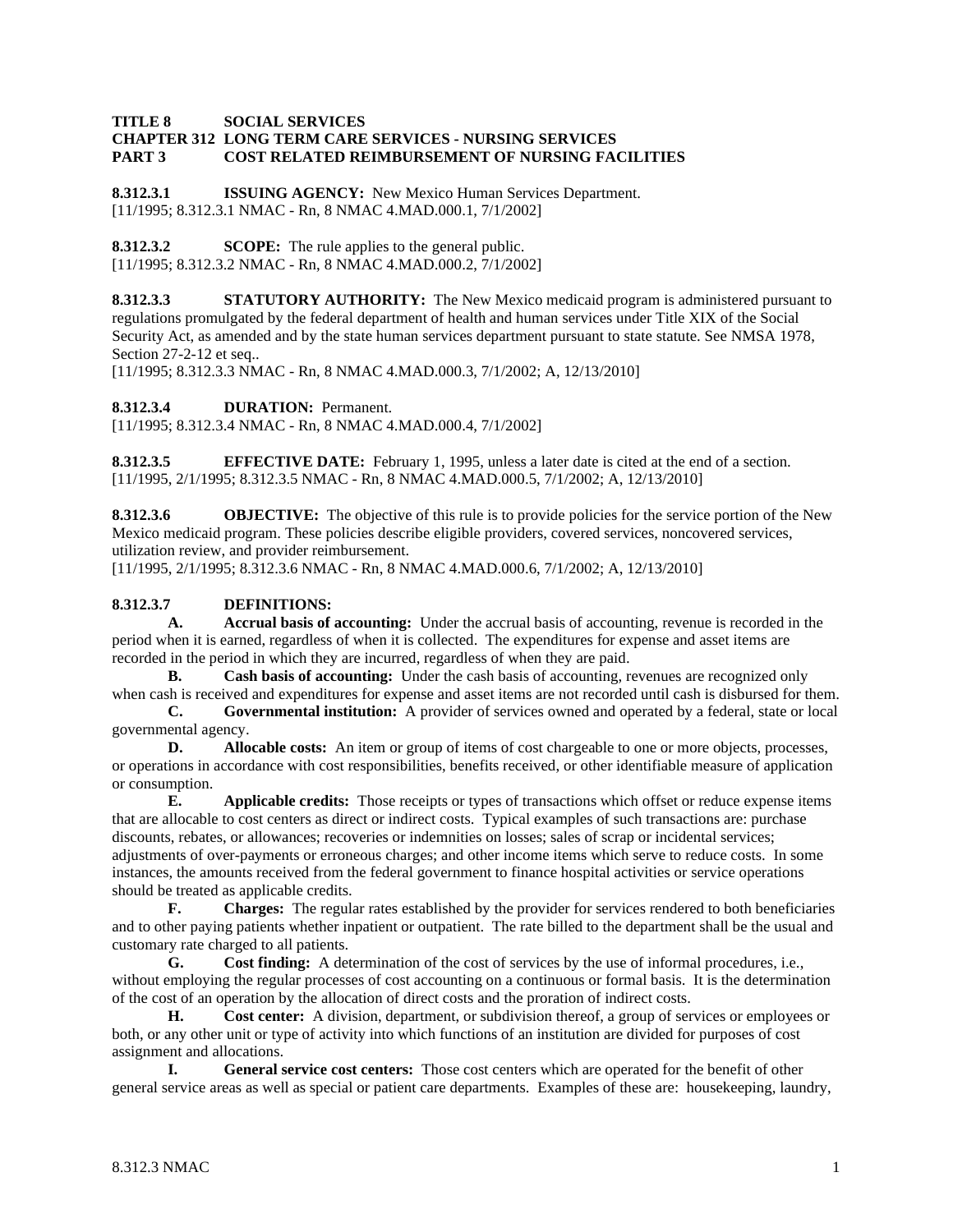#### **TITLE 8 SOCIAL SERVICES CHAPTER 312 LONG TERM CARE SERVICES - NURSING SERVICES PART 3 COST RELATED REIMBURSEMENT OF NURSING FACILITIES**

**8.312.3.1 ISSUING AGENCY:** New Mexico Human Services Department. [11/1995; 8.312.3.1 NMAC - Rn, 8 NMAC 4.MAD.000.1, 7/1/2002]

**8.312.3.2 SCOPE:** The rule applies to the general public. [11/1995; 8.312.3.2 NMAC - Rn, 8 NMAC 4.MAD.000.2, 7/1/2002]

**8.312.3.3 STATUTORY AUTHORITY:** The New Mexico medicaid program is administered pursuant to regulations promulgated by the federal department of health and human services under Title XIX of the Social Security Act, as amended and by the state human services department pursuant to state statute. See NMSA 1978, Section 27-2-12 et seq..

[11/1995; 8.312.3.3 NMAC - Rn, 8 NMAC 4.MAD.000.3, 7/1/2002; A, 12/13/2010]

**8.312.3.4 DURATION:** Permanent.

[11/1995; 8.312.3.4 NMAC - Rn, 8 NMAC 4.MAD.000.4, 7/1/2002]

**8.312.3.5 EFFECTIVE DATE:** February 1, 1995, unless a later date is cited at the end of a section. [11/1995, 2/1/1995; 8.312.3.5 NMAC - Rn, 8 NMAC 4.MAD.000.5, 7/1/2002; A, 12/13/2010]

**8.312.3.6 OBJECTIVE:** The objective of this rule is to provide policies for the service portion of the New Mexico medicaid program. These policies describe eligible providers, covered services, noncovered services, utilization review, and provider reimbursement.

[11/1995, 2/1/1995; 8.312.3.6 NMAC - Rn, 8 NMAC 4.MAD.000.6, 7/1/2002; A, 12/13/2010]

#### **8.312.3.7 DEFINITIONS:**

**A. Accrual basis of accounting:** Under the accrual basis of accounting, revenue is recorded in the period when it is earned, regardless of when it is collected. The expenditures for expense and asset items are recorded in the period in which they are incurred, regardless of when they are paid.

**B. Cash basis of accounting:** Under the cash basis of accounting, revenues are recognized only when cash is received and expenditures for expense and asset items are not recorded until cash is disbursed for them.

**C. Governmental institution:** A provider of services owned and operated by a federal, state or local governmental agency.

**D. Allocable costs:** An item or group of items of cost chargeable to one or more objects, processes, or operations in accordance with cost responsibilities, benefits received, or other identifiable measure of application or consumption.

**E. Applicable credits:** Those receipts or types of transactions which offset or reduce expense items that are allocable to cost centers as direct or indirect costs. Typical examples of such transactions are: purchase discounts, rebates, or allowances; recoveries or indemnities on losses; sales of scrap or incidental services; adjustments of over-payments or erroneous charges; and other income items which serve to reduce costs. In some instances, the amounts received from the federal government to finance hospital activities or service operations should be treated as applicable credits.

**F. Charges:** The regular rates established by the provider for services rendered to both beneficiaries and to other paying patients whether inpatient or outpatient. The rate billed to the department shall be the usual and customary rate charged to all patients.

**G. Cost finding:** A determination of the cost of services by the use of informal procedures, i.e., without employing the regular processes of cost accounting on a continuous or formal basis. It is the determination of the cost of an operation by the allocation of direct costs and the proration of indirect costs.

**H. Cost center:** A division, department, or subdivision thereof, a group of services or employees or both, or any other unit or type of activity into which functions of an institution are divided for purposes of cost assignment and allocations.

**I. General service cost centers:** Those cost centers which are operated for the benefit of other general service areas as well as special or patient care departments. Examples of these are: housekeeping, laundry,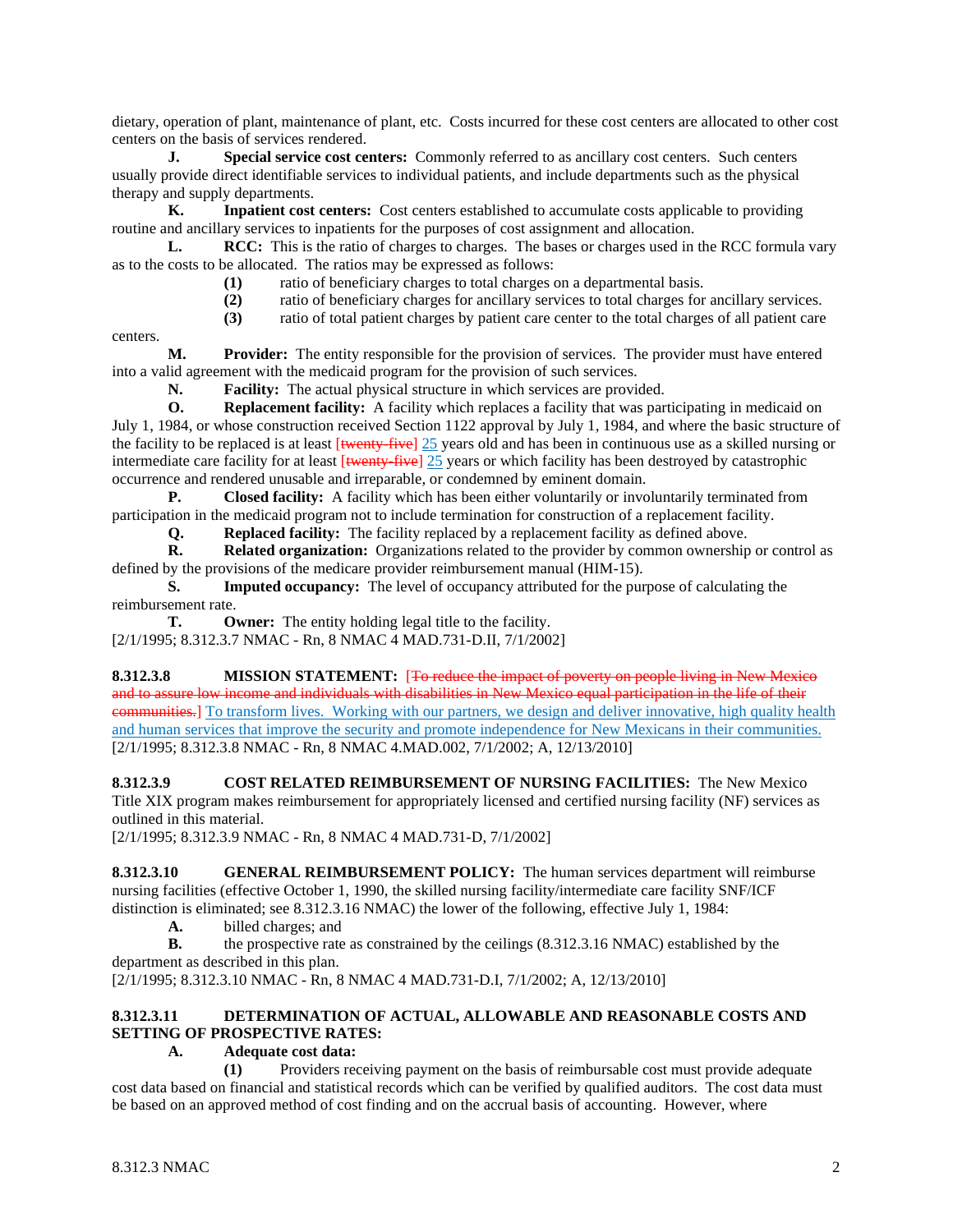dietary, operation of plant, maintenance of plant, etc. Costs incurred for these cost centers are allocated to other cost centers on the basis of services rendered.

**J. Special service cost centers:** Commonly referred to as ancillary cost centers. Such centers usually provide direct identifiable services to individual patients, and include departments such as the physical therapy and supply departments.

**K. Inpatient cost centers:** Cost centers established to accumulate costs applicable to providing routine and ancillary services to inpatients for the purposes of cost assignment and allocation.

**L. RCC:** This is the ratio of charges to charges. The bases or charges used in the RCC formula vary as to the costs to be allocated. The ratios may be expressed as follows:

**(1)** ratio of beneficiary charges to total charges on a departmental basis.

**(2)** ratio of beneficiary charges for ancillary services to total charges for ancillary services.

**(3)** ratio of total patient charges by patient care center to the total charges of all patient care

centers.

**M. Provider:** The entity responsible for the provision of services. The provider must have entered into a valid agreement with the medicaid program for the provision of such services.

**N. Facility:** The actual physical structure in which services are provided.

**O. Replacement facility:** A facility which replaces a facility that was participating in medicaid on July 1, 1984, or whose construction received Section 1122 approval by July 1, 1984, and where the basic structure of the facility to be replaced is at least [twenty-five] 25 years old and has been in continuous use as a skilled nursing or intermediate care facility for at least  $[\text{twenty-five}]$  25 years or which facility has been destroyed by catastrophic occurrence and rendered unusable and irreparable, or condemned by eminent domain.

**P. Closed facility:** A facility which has been either voluntarily or involuntarily terminated from participation in the medicaid program not to include termination for construction of a replacement facility.

**Q. Replaced facility:** The facility replaced by a replacement facility as defined above.

**R. Related organization:** Organizations related to the provider by common ownership or control as defined by the provisions of the medicare provider reimbursement manual (HIM-15).

**S. Imputed occupancy:** The level of occupancy attributed for the purpose of calculating the reimbursement rate.

**T. Owner:** The entity holding legal title to the facility. [2/1/1995; 8.312.3.7 NMAC - Rn, 8 NMAC 4 MAD.731-D.II, 7/1/2002]

**8.312.3.8 MISSION STATEMENT:** [To reduce the impact of poverty on people living in New Mexico and to assure low income and individuals with disabilities in New Mexico equal participation in the life of their communities.] To transform lives. Working with our partners, we design and deliver innovative, high quality health and human services that improve the security and promote independence for New Mexicans in their communities. [2/1/1995; 8.312.3.8 NMAC - Rn, 8 NMAC 4.MAD.002, 7/1/2002; A, 12/13/2010]

**8.312.3.9 COST RELATED REIMBURSEMENT OF NURSING FACILITIES:** The New Mexico Title XIX program makes reimbursement for appropriately licensed and certified nursing facility (NF) services as outlined in this material.

[2/1/1995; 8.312.3.9 NMAC - Rn, 8 NMAC 4 MAD.731-D, 7/1/2002]

**8.312.3.10 GENERAL REIMBURSEMENT POLICY:** The human services department will reimburse nursing facilities (effective October 1, 1990, the skilled nursing facility/intermediate care facility SNF/ICF distinction is eliminated; see 8.312.3.16 NMAC) the lower of the following, effective July 1, 1984:<br>A. billed charges: and

**A.** billed charges; and

**B.** the prospective rate as constrained by the ceilings (8.312.3.16 NMAC) established by the department as described in this plan.

[2/1/1995; 8.312.3.10 NMAC - Rn, 8 NMAC 4 MAD.731-D.I, 7/1/2002; A, 12/13/2010]

### **8.312.3.11 DETERMINATION OF ACTUAL, ALLOWABLE AND REASONABLE COSTS AND SETTING OF PROSPECTIVE RATES:**

### **A. Adequate cost data:**

**(1)** Providers receiving payment on the basis of reimbursable cost must provide adequate cost data based on financial and statistical records which can be verified by qualified auditors. The cost data must be based on an approved method of cost finding and on the accrual basis of accounting. However, where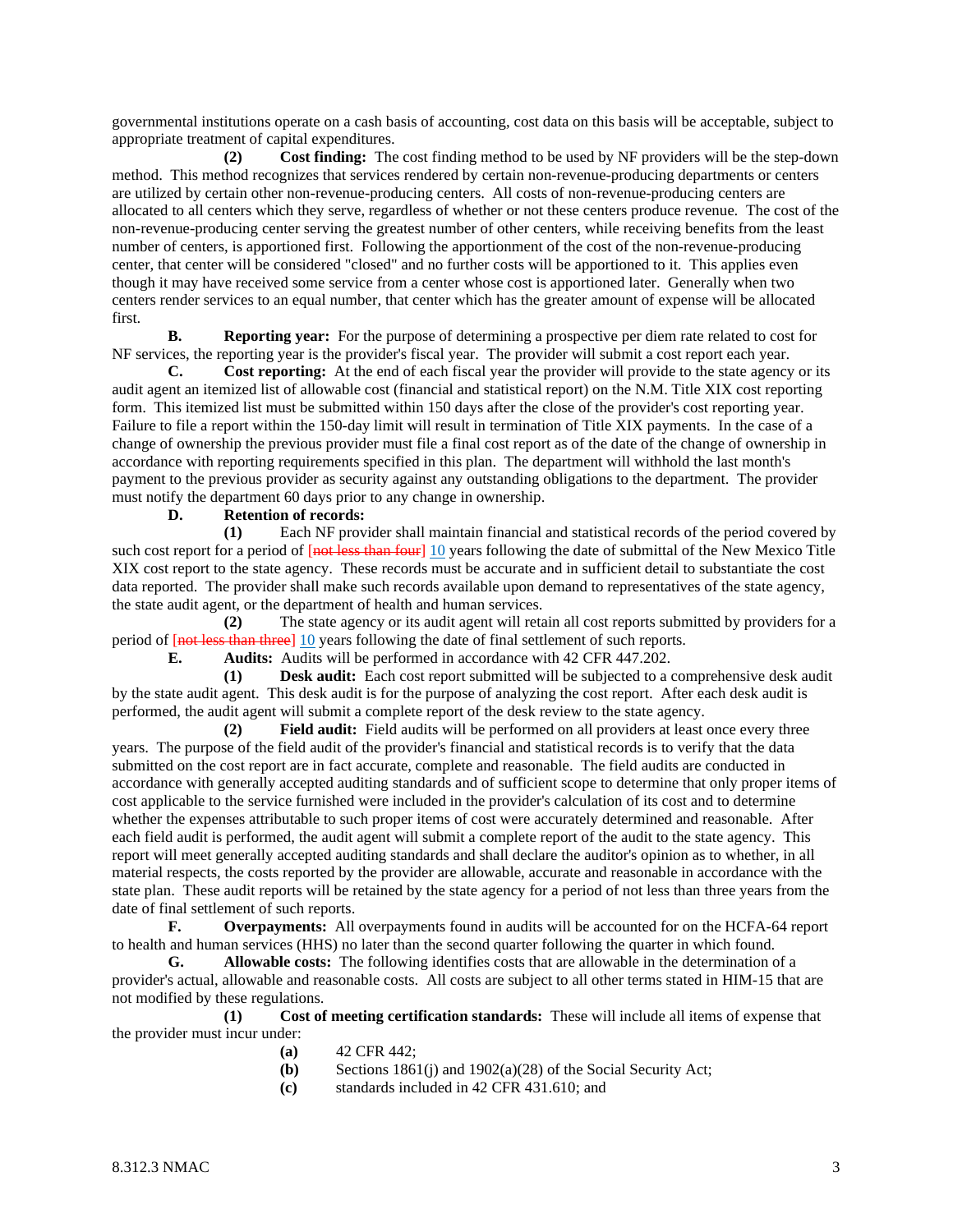governmental institutions operate on a cash basis of accounting, cost data on this basis will be acceptable, subject to appropriate treatment of capital expenditures.

**(2) Cost finding:** The cost finding method to be used by NF providers will be the step-down method. This method recognizes that services rendered by certain non-revenue-producing departments or centers are utilized by certain other non-revenue-producing centers. All costs of non-revenue-producing centers are allocated to all centers which they serve, regardless of whether or not these centers produce revenue. The cost of the non-revenue-producing center serving the greatest number of other centers, while receiving benefits from the least number of centers, is apportioned first. Following the apportionment of the cost of the non-revenue-producing center, that center will be considered "closed" and no further costs will be apportioned to it. This applies even though it may have received some service from a center whose cost is apportioned later. Generally when two centers render services to an equal number, that center which has the greater amount of expense will be allocated first.

**B. Reporting year:** For the purpose of determining a prospective per diem rate related to cost for NF services, the reporting year is the provider's fiscal year. The provider will submit a cost report each year.

**C. Cost reporting:** At the end of each fiscal year the provider will provide to the state agency or its audit agent an itemized list of allowable cost (financial and statistical report) on the N.M. Title XIX cost reporting form. This itemized list must be submitted within 150 days after the close of the provider's cost reporting year. Failure to file a report within the 150-day limit will result in termination of Title XIX payments. In the case of a change of ownership the previous provider must file a final cost report as of the date of the change of ownership in accordance with reporting requirements specified in this plan. The department will withhold the last month's payment to the previous provider as security against any outstanding obligations to the department. The provider must notify the department 60 days prior to any change in ownership.

#### **D. Retention of records:**

**(1)** Each NF provider shall maintain financial and statistical records of the period covered by such cost report for a period of [not less than four] 10 years following the date of submittal of the New Mexico Title XIX cost report to the state agency. These records must be accurate and in sufficient detail to substantiate the cost data reported. The provider shall make such records available upon demand to representatives of the state agency, the state audit agent, or the department of health and human services.

**(2)** The state agency or its audit agent will retain all cost reports submitted by providers for a period of  $\frac{[not \text{ less than three}]}{10}$  years following the date of final settlement of such reports.<br> **E.** Audits: Audits will be performed in accordance with 42 CFR 447.202.

**E. Audits:** Audits will be performed in accordance with 42 CFR 447.202.

**(1) Desk audit:** Each cost report submitted will be subjected to a comprehensive desk audit by the state audit agent. This desk audit is for the purpose of analyzing the cost report. After each desk audit is performed, the audit agent will submit a complete report of the desk review to the state agency.

**(2) Field audit:** Field audits will be performed on all providers at least once every three years. The purpose of the field audit of the provider's financial and statistical records is to verify that the data submitted on the cost report are in fact accurate, complete and reasonable. The field audits are conducted in accordance with generally accepted auditing standards and of sufficient scope to determine that only proper items of cost applicable to the service furnished were included in the provider's calculation of its cost and to determine whether the expenses attributable to such proper items of cost were accurately determined and reasonable. After each field audit is performed, the audit agent will submit a complete report of the audit to the state agency. This report will meet generally accepted auditing standards and shall declare the auditor's opinion as to whether, in all material respects, the costs reported by the provider are allowable, accurate and reasonable in accordance with the state plan. These audit reports will be retained by the state agency for a period of not less than three years from the date of final settlement of such reports.<br> **F.** Overnavments: All

**F. Overpayments:** All overpayments found in audits will be accounted for on the HCFA-64 report to health and human services (HHS) no later than the second quarter following the quarter in which found.

**G. Allowable costs:** The following identifies costs that are allowable in the determination of a provider's actual, allowable and reasonable costs. All costs are subject to all other terms stated in HIM-15 that are not modified by these regulations.

**(1) Cost of meeting certification standards:** These will include all items of expense that the provider must incur under:

- **(a)** 42 CFR 442;
- Sections 1861(j) and 1902(a)(28) of the Social Security Act;
- **(c)** standards included in 42 CFR 431.610; and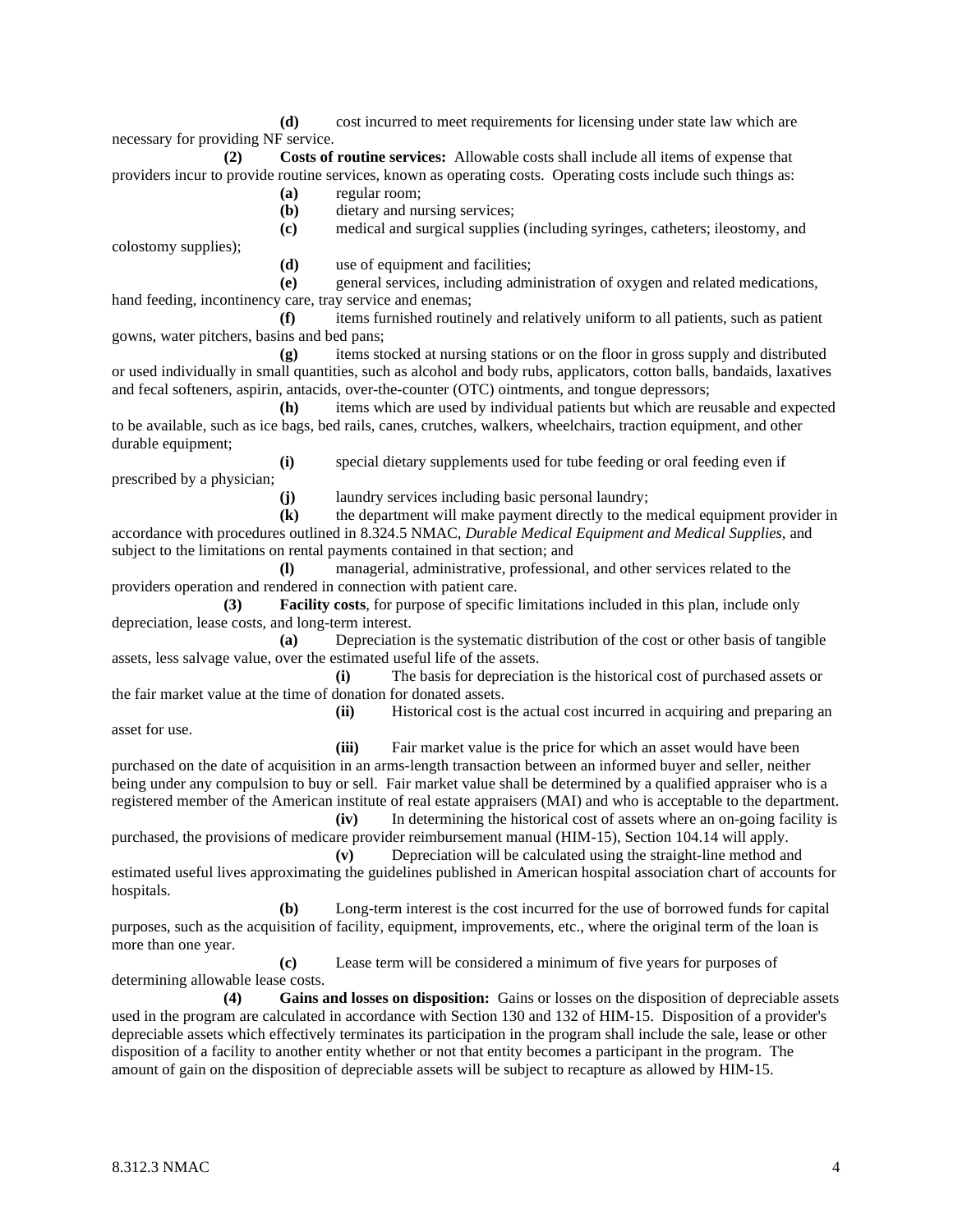**(d)** cost incurred to meet requirements for licensing under state law which are necessary for providing NF service.

**(2) Costs of routine services:** Allowable costs shall include all items of expense that providers incur to provide routine services, known as operating costs. Operating costs include such things as: **(a)** regular room;

- 
- **(b)** dietary and nursing services;
- **(c)** medical and surgical supplies (including syringes, catheters; ileostomy, and

colostomy supplies);

**(d)** use of equipment and facilities;

**(e)** general services, including administration of oxygen and related medications, hand feeding, incontinency care, tray service and enemas;

**(f)** items furnished routinely and relatively uniform to all patients, such as patient gowns, water pitchers, basins and bed pans;

**(g)** items stocked at nursing stations or on the floor in gross supply and distributed or used individually in small quantities, such as alcohol and body rubs, applicators, cotton balls, bandaids, laxatives and fecal softeners, aspirin, antacids, over-the-counter (OTC) ointments, and tongue depressors;

**(h)** items which are used by individual patients but which are reusable and expected to be available, such as ice bags, bed rails, canes, crutches, walkers, wheelchairs, traction equipment, and other durable equipment;

**(i)** special dietary supplements used for tube feeding or oral feeding even if

prescribed by a physician;

asset for use.

**(j)** laundry services including basic personal laundry;

**(k)** the department will make payment directly to the medical equipment provider in accordance with procedures outlined in 8.324.5 NMAC, *Durable Medical Equipment and Medical Supplies*, and subject to the limitations on rental payments contained in that section; and

**(l)** managerial, administrative, professional, and other services related to the providers operation and rendered in connection with patient care.

**(3) Facility costs**, for purpose of specific limitations included in this plan, include only depreciation, lease costs, and long-term interest.

**(a)** Depreciation is the systematic distribution of the cost or other basis of tangible assets, less salvage value, over the estimated useful life of the assets.

**(i)** The basis for depreciation is the historical cost of purchased assets or the fair market value at the time of donation for donated assets.

**(ii)** Historical cost is the actual cost incurred in acquiring and preparing an

**(iii)** Fair market value is the price for which an asset would have been purchased on the date of acquisition in an arms-length transaction between an informed buyer and seller, neither being under any compulsion to buy or sell. Fair market value shall be determined by a qualified appraiser who is a registered member of the American institute of real estate appraisers (MAI) and who is acceptable to the department.

**(iv)** In determining the historical cost of assets where an on-going facility is purchased, the provisions of medicare provider reimbursement manual (HIM-15), Section 104.14 will apply. **(v)** Depreciation will be calculated using the straight-line method and

estimated useful lives approximating the guidelines published in American hospital association chart of accounts for hospitals.

**(b)** Long-term interest is the cost incurred for the use of borrowed funds for capital purposes, such as the acquisition of facility, equipment, improvements, etc., where the original term of the loan is more than one year.

**(c)** Lease term will be considered a minimum of five years for purposes of determining allowable lease costs.

**(4) Gains and losses on disposition:** Gains or losses on the disposition of depreciable assets used in the program are calculated in accordance with Section 130 and 132 of HIM-15. Disposition of a provider's depreciable assets which effectively terminates its participation in the program shall include the sale, lease or other disposition of a facility to another entity whether or not that entity becomes a participant in the program. The amount of gain on the disposition of depreciable assets will be subject to recapture as allowed by HIM-15.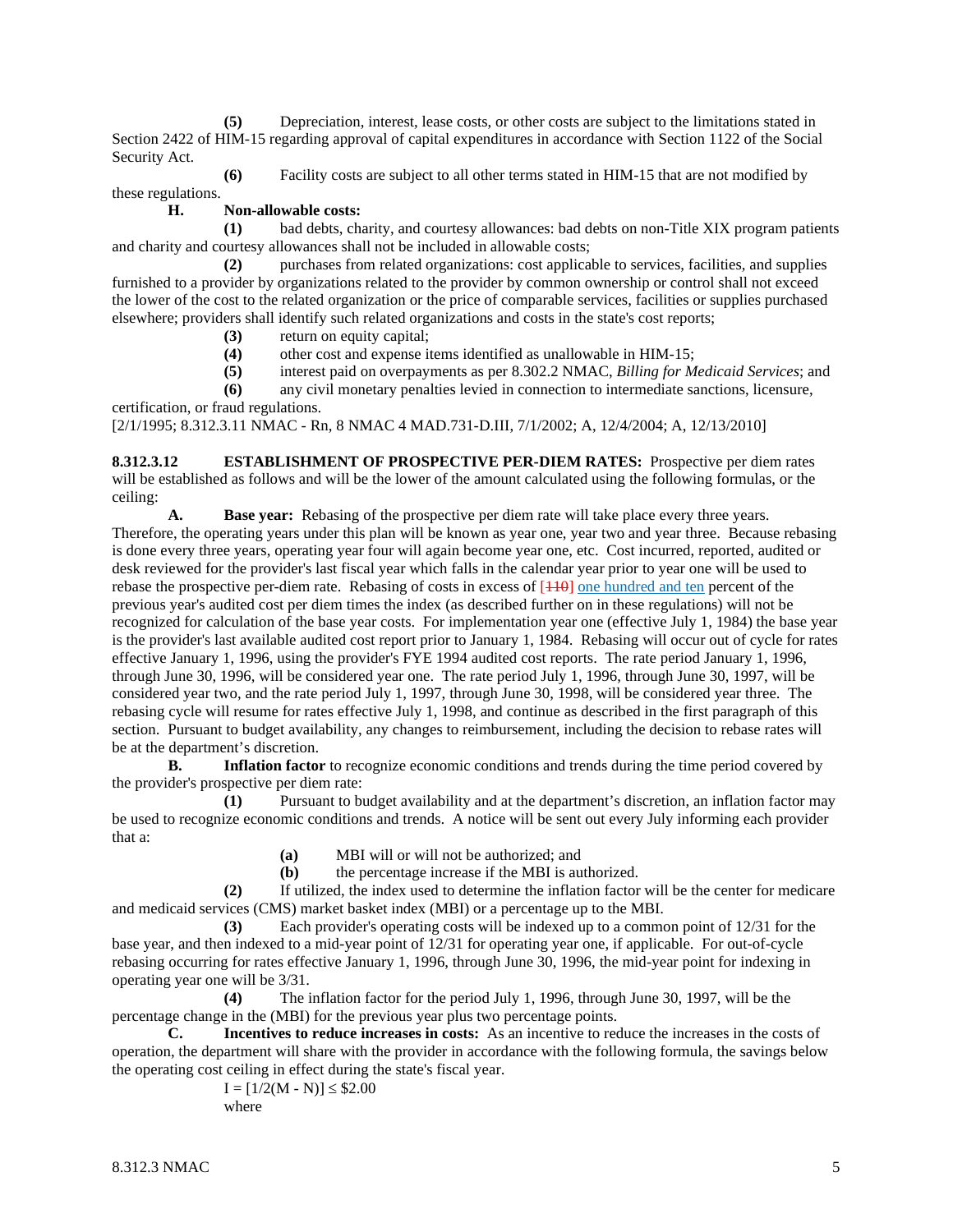**(5)** Depreciation, interest, lease costs, or other costs are subject to the limitations stated in Section 2422 of HIM-15 regarding approval of capital expenditures in accordance with Section 1122 of the Social Security Act.

**(6)** Facility costs are subject to all other terms stated in HIM-15 that are not modified by these regulations.

#### **H. Non-allowable costs:**

**(1)** bad debts, charity, and courtesy allowances: bad debts on non-Title XIX program patients and charity and courtesy allowances shall not be included in allowable costs;

**(2)** purchases from related organizations: cost applicable to services, facilities, and supplies furnished to a provider by organizations related to the provider by common ownership or control shall not exceed the lower of the cost to the related organization or the price of comparable services, facilities or supplies purchased elsewhere; providers shall identify such related organizations and costs in the state's cost reports;

- **(3)** return on equity capital;
- (4) other cost and expense items identified as unallowable in HIM-15;<br>(5) interest paid on overpayments as per 8.302.2 NMAC. Billing for M.
- **(5)** interest paid on overpayments as per 8.302.2 NMAC, *Billing for Medicaid Services*; and
- **(6)** any civil monetary penalties levied in connection to intermediate sanctions, licensure,

certification, or fraud regulations.

[2/1/1995; 8.312.3.11 NMAC - Rn, 8 NMAC 4 MAD.731-D.III, 7/1/2002; A, 12/4/2004; A, 12/13/2010]

**8.312.3.12 ESTABLISHMENT OF PROSPECTIVE PER-DIEM RATES:** Prospective per diem rates will be established as follows and will be the lower of the amount calculated using the following formulas, or the ceiling:

**A. Base year:** Rebasing of the prospective per diem rate will take place every three years.

Therefore, the operating years under this plan will be known as year one, year two and year three. Because rebasing is done every three years, operating year four will again become year one, etc. Cost incurred, reported, audited or desk reviewed for the provider's last fiscal year which falls in the calendar year prior to year one will be used to rebase the prospective per-diem rate. Rebasing of costs in excess of  $[110]$  one hundred and ten percent of the previous year's audited cost per diem times the index (as described further on in these regulations) will not be recognized for calculation of the base year costs. For implementation year one (effective July 1, 1984) the base year is the provider's last available audited cost report prior to January 1, 1984. Rebasing will occur out of cycle for rates effective January 1, 1996, using the provider's FYE 1994 audited cost reports. The rate period January 1, 1996, through June 30, 1996, will be considered year one. The rate period July 1, 1996, through June 30, 1997, will be considered year two, and the rate period July 1, 1997, through June 30, 1998, will be considered year three. The rebasing cycle will resume for rates effective July 1, 1998, and continue as described in the first paragraph of this section. Pursuant to budget availability, any changes to reimbursement, including the decision to rebase rates will be at the department's discretion.

**B. Inflation factor** to recognize economic conditions and trends during the time period covered by the provider's prospective per diem rate:

**(1)** Pursuant to budget availability and at the department's discretion, an inflation factor may be used to recognize economic conditions and trends. A notice will be sent out every July informing each provider that a:

**(a)** MBI will or will not be authorized; and<br>**(b)** the percentage increase if the MBI is au

**(b)** the percentage increase if the MBI is authorized.

**(2)** If utilized, the index used to determine the inflation factor will be the center for medicare and medicaid services (CMS) market basket index (MBI) or a percentage up to the MBI.

**(3)** Each provider's operating costs will be indexed up to a common point of 12/31 for the base year, and then indexed to a mid-year point of 12/31 for operating year one, if applicable. For out-of-cycle rebasing occurring for rates effective January 1, 1996, through June 30, 1996, the mid-year point for indexing in operating year one will be 3/31.

**(4)** The inflation factor for the period July 1, 1996, through June 30, 1997, will be the percentage change in the (MBI) for the previous year plus two percentage points.

**C. Incentives to reduce increases in costs:** As an incentive to reduce the increases in the costs of operation, the department will share with the provider in accordance with the following formula, the savings below the operating cost ceiling in effect during the state's fiscal year.

> $I = [1/2(M - N)] \leq $2.00$ where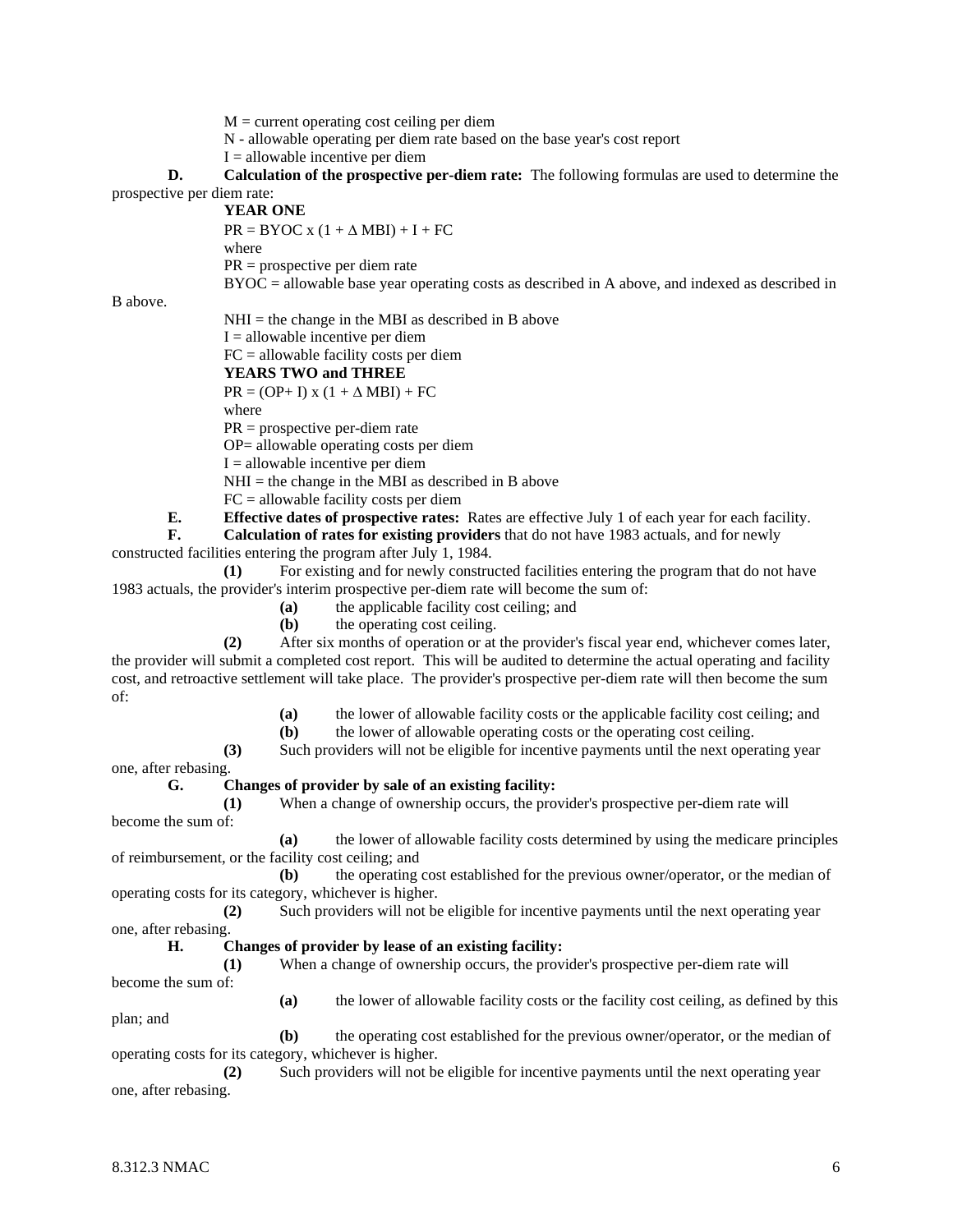$M =$  current operating cost ceiling per diem

N - allowable operating per diem rate based on the base year's cost report

 $I =$  allowable incentive per diem

**D. Calculation of the prospective per-diem rate:** The following formulas are used to determine the prospective per diem rate:

**YEAR ONE**

 $PR = BYOC x (1 + \Delta MBI) + I + FC$ where

PR = prospective per diem rate

BYOC = allowable base year operating costs as described in A above, and indexed as described in

B above.

 $NHI =$  the change in the MBI as described in B above

 $I =$  allowable incentive per diem

FC = allowable facility costs per diem

**YEARS TWO and THREE**

 $PR = (OP + I) \times (1 + \Delta MBI) + FC$ 

where

PR = prospective per-diem rate

OP= allowable operating costs per diem

 $I =$  allowable incentive per diem

 $NHI =$  the change in the MBI as described in B above

FC = allowable facility costs per diem

**E. Effective dates of prospective rates:** Rates are effective July 1 of each year for each facility.

**F. Calculation of rates for existing providers** that do not have 1983 actuals, and for newly

constructed facilities entering the program after July 1, 1984.

**(1)** For existing and for newly constructed facilities entering the program that do not have 1983 actuals, the provider's interim prospective per-diem rate will become the sum of:

**(a)** the applicable facility cost ceiling; and

**(b)** the operating cost ceiling.

**(2)** After six months of operation or at the provider's fiscal year end, whichever comes later, the provider will submit a completed cost report. This will be audited to determine the actual operating and facility cost, and retroactive settlement will take place. The provider's prospective per-diem rate will then become the sum of:

**(a)** the lower of allowable facility costs or the applicable facility cost ceiling; and

**(b)** the lower of allowable operating costs or the operating cost ceiling.

**(3)** Such providers will not be eligible for incentive payments until the next operating year

one, after rebasing.

#### **G. Changes of provider by sale of an existing facility:**

**(1)** When a change of ownership occurs, the provider's prospective per-diem rate will become the sum of:

**(a)** the lower of allowable facility costs determined by using the medicare principles of reimbursement, or the facility cost ceiling; and

**(b)** the operating cost established for the previous owner/operator, or the median of operating costs for its category, whichever is higher.

**(2)** Such providers will not be eligible for incentive payments until the next operating year one, after rebasing.

#### **H. Changes of provider by lease of an existing facility:**

**(1)** When a change of ownership occurs, the provider's prospective per-diem rate will become the sum of:

**(a)** the lower of allowable facility costs or the facility cost ceiling, as defined by this plan; and

**(b)** the operating cost established for the previous owner/operator, or the median of operating costs for its category, whichever is higher.

**(2)** Such providers will not be eligible for incentive payments until the next operating year one, after rebasing.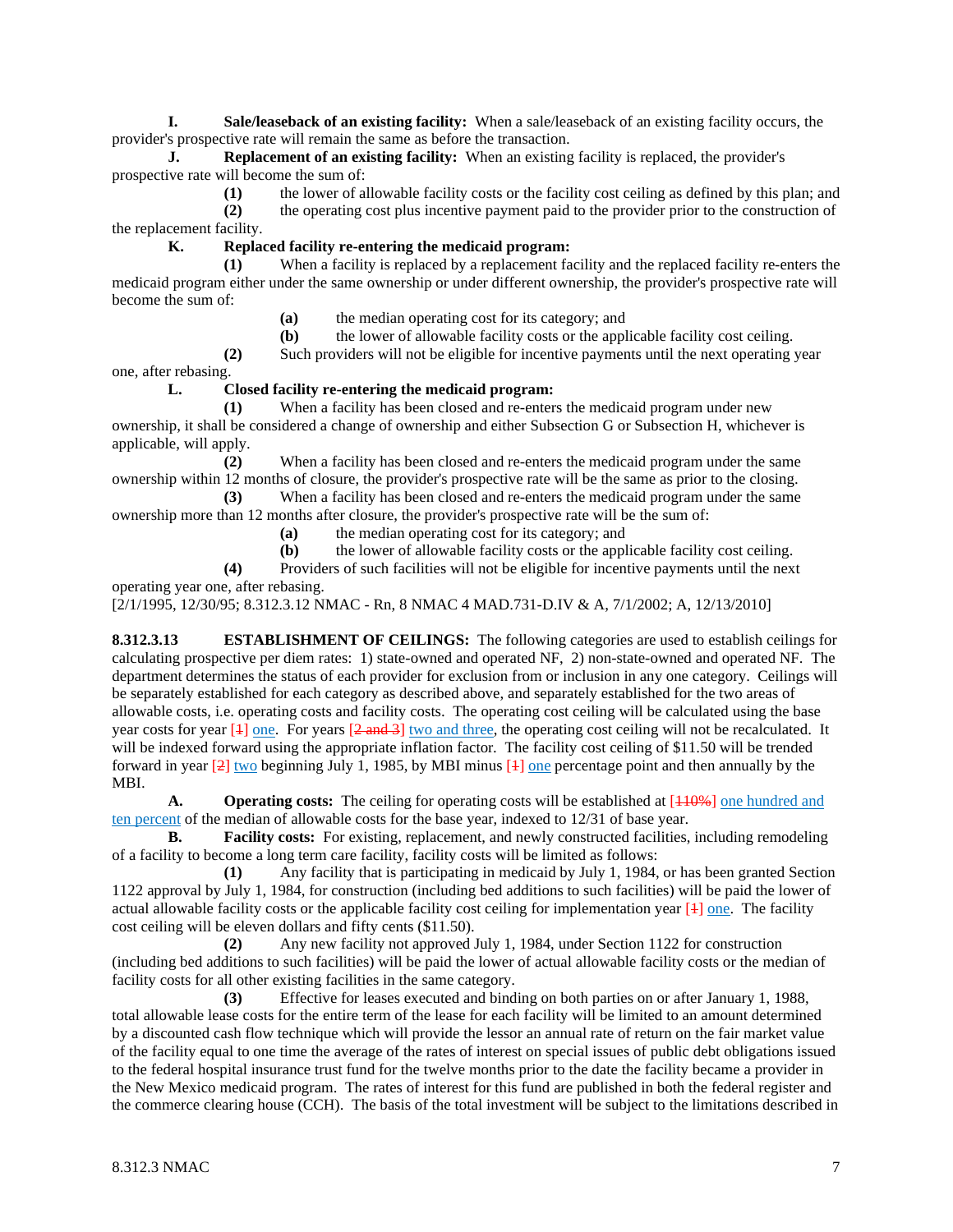**I. Sale/leaseback of an existing facility:** When a sale/leaseback of an existing facility occurs, the provider's prospective rate will remain the same as before the transaction.

**J. Replacement of an existing facility:** When an existing facility is replaced, the provider's prospective rate will become the sum of:

**(1)** the lower of allowable facility costs or the facility cost ceiling as defined by this plan; and **(2)** the operating cost plus incentive payment paid to the provider prior to the construction of the replacement facility.

**K. Replaced facility re-entering the medicaid program:**

**(1)** When a facility is replaced by a replacement facility and the replaced facility re-enters the medicaid program either under the same ownership or under different ownership, the provider's prospective rate will become the sum of:

**(a)** the median operating cost for its category; and

**(b)** the lower of allowable facility costs or the applicable facility cost ceiling.

**(2)** Such providers will not be eligible for incentive payments until the next operating year one, after rebasing.

#### **L. Closed facility re-entering the medicaid program:**

**(1)** When a facility has been closed and re-enters the medicaid program under new ownership, it shall be considered a change of ownership and either Subsection G or Subsection H, whichever is applicable, will apply.

**(2)** When a facility has been closed and re-enters the medicaid program under the same ownership within 12 months of closure, the provider's prospective rate will be the same as prior to the closing.

**(3)** When a facility has been closed and re-enters the medicaid program under the same ownership more than 12 months after closure, the provider's prospective rate will be the sum of:

**(a)** the median operating cost for its category; and

**(b)** the lower of allowable facility costs or the applicable facility cost ceiling.

**(4)** Providers of such facilities will not be eligible for incentive payments until the next operating year one, after rebasing.

[2/1/1995, 12/30/95; 8.312.3.12 NMAC - Rn, 8 NMAC 4 MAD.731-D.IV & A, 7/1/2002; A, 12/13/2010]

**8.312.3.13 ESTABLISHMENT OF CEILINGS:** The following categories are used to establish ceilings for calculating prospective per diem rates: 1) state-owned and operated NF, 2) non-state-owned and operated NF. The department determines the status of each provider for exclusion from or inclusion in any one category. Ceilings will be separately established for each category as described above, and separately established for the two areas of allowable costs, i.e. operating costs and facility costs. The operating cost ceiling will be calculated using the base year costs for year  $[1]$  one. For years  $[2 \text{ and } 3]$  two and three, the operating cost ceiling will not be recalculated. It will be indexed forward using the appropriate inflation factor. The facility cost ceiling of \$11.50 will be trended forward in year  $\left[2\right]$  two beginning July 1, 1985, by MBI minus  $\left[4\right]$  one percentage point and then annually by the MBI.

**A. Operating costs:** The ceiling for operating costs will be established at [ $\frac{110\%}{1000}$ ] one hundred and ten percent of the median of allowable costs for the base year, indexed to 12/31 of base year.

**B. Facility costs:** For existing, replacement, and newly constructed facilities, including remodeling of a facility to become a long term care facility, facility costs will be limited as follows:

**(1)** Any facility that is participating in medicaid by July 1, 1984, or has been granted Section 1122 approval by July 1, 1984, for construction (including bed additions to such facilities) will be paid the lower of actual allowable facility costs or the applicable facility cost ceiling for implementation year  $[4]$  one. The facility cost ceiling will be eleven dollars and fifty cents (\$11.50).

**(2)** Any new facility not approved July 1, 1984, under Section 1122 for construction (including bed additions to such facilities) will be paid the lower of actual allowable facility costs or the median of facility costs for all other existing facilities in the same category.

**(3)** Effective for leases executed and binding on both parties on or after January 1, 1988, total allowable lease costs for the entire term of the lease for each facility will be limited to an amount determined by a discounted cash flow technique which will provide the lessor an annual rate of return on the fair market value of the facility equal to one time the average of the rates of interest on special issues of public debt obligations issued to the federal hospital insurance trust fund for the twelve months prior to the date the facility became a provider in the New Mexico medicaid program. The rates of interest for this fund are published in both the federal register and the commerce clearing house (CCH). The basis of the total investment will be subject to the limitations described in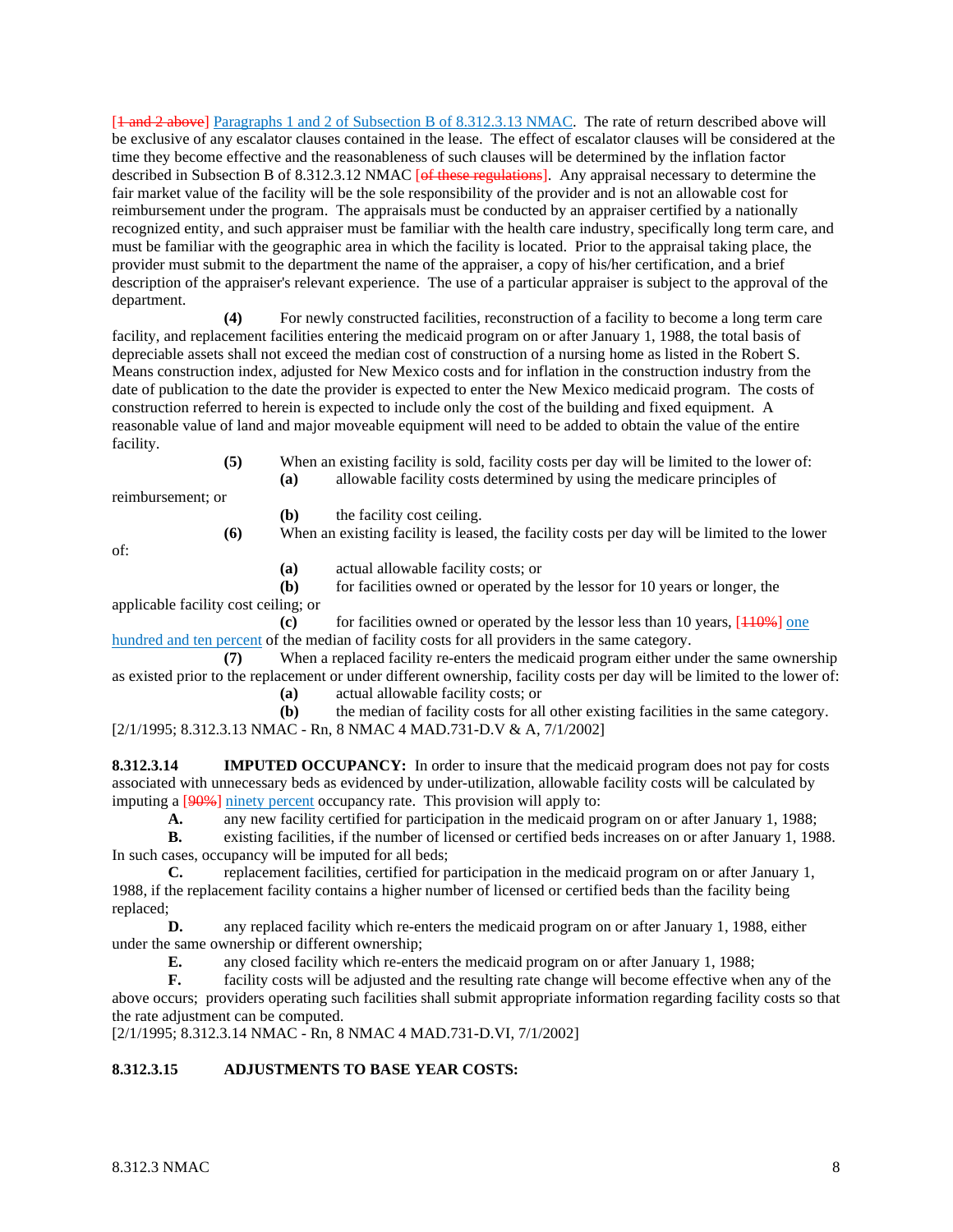[ $1$  and  $2$  above] Paragraphs 1 and 2 of Subsection B of 8.312.3.13 NMAC. The rate of return described above will be exclusive of any escalator clauses contained in the lease. The effect of escalator clauses will be considered at the time they become effective and the reasonableness of such clauses will be determined by the inflation factor described in Subsection B of 8.312.3.12 NMAC [of these regulations]. Any appraisal necessary to determine the fair market value of the facility will be the sole responsibility of the provider and is not an allowable cost for reimbursement under the program. The appraisals must be conducted by an appraiser certified by a nationally recognized entity, and such appraiser must be familiar with the health care industry, specifically long term care, and must be familiar with the geographic area in which the facility is located. Prior to the appraisal taking place, the provider must submit to the department the name of the appraiser, a copy of his/her certification, and a brief description of the appraiser's relevant experience. The use of a particular appraiser is subject to the approval of the department.

**(4)** For newly constructed facilities, reconstruction of a facility to become a long term care facility, and replacement facilities entering the medicaid program on or after January 1, 1988, the total basis of depreciable assets shall not exceed the median cost of construction of a nursing home as listed in the Robert S. Means construction index, adjusted for New Mexico costs and for inflation in the construction industry from the date of publication to the date the provider is expected to enter the New Mexico medicaid program. The costs of construction referred to herein is expected to include only the cost of the building and fixed equipment. A reasonable value of land and major moveable equipment will need to be added to obtain the value of the entire facility.

> **(5)** When an existing facility is sold, facility costs per day will be limited to the lower of: **(a)** allowable facility costs determined by using the medicare principles of

reimbursement; or

**(b)** the facility cost ceiling.

**(6)** When an existing facility is leased, the facility costs per day will be limited to the lower

of:

**(a)** actual allowable facility costs; or

**(b)** for facilities owned or operated by the lessor for 10 years or longer, the applicable facility cost ceiling; or

**(c)** for facilities owned or operated by the lessor less than 10 years,  $[110\%]$  one hundred and ten percent of the median of facility costs for all providers in the same category.

**(7)** When a replaced facility re-enters the medicaid program either under the same ownership as existed prior to the replacement or under different ownership, facility costs per day will be limited to the lower of: **(a)** actual allowable facility costs; or

- 
- **(b)** the median of facility costs for all other existing facilities in the same category.

[2/1/1995; 8.312.3.13 NMAC - Rn, 8 NMAC 4 MAD.731-D.V & A, 7/1/2002]

**8.312.3.14 IMPUTED OCCUPANCY:** In order to insure that the medicaid program does not pay for costs associated with unnecessary beds as evidenced by under-utilization, allowable facility costs will be calculated by imputing a [90%] ninety percent occupancy rate. This provision will apply to:

**A.** any new facility certified for participation in the medicaid program on or after January 1, 1988;

**B.** existing facilities, if the number of licensed or certified beds increases on or after January 1, 1988. In such cases, occupancy will be imputed for all beds;

**C.** replacement facilities, certified for participation in the medicaid program on or after January 1, 1988, if the replacement facility contains a higher number of licensed or certified beds than the facility being replaced;<br>D.

**D.** any replaced facility which re-enters the medicaid program on or after January 1, 1988, either under the same ownership or different ownership;

**E.** any closed facility which re-enters the medicaid program on or after January 1, 1988;

**F.** facility costs will be adjusted and the resulting rate change will become effective when any of the above occurs; providers operating such facilities shall submit appropriate information regarding facility costs so that the rate adjustment can be computed.

[2/1/1995; 8.312.3.14 NMAC - Rn, 8 NMAC 4 MAD.731-D.VI, 7/1/2002]

# **8.312.3.15 ADJUSTMENTS TO BASE YEAR COSTS:**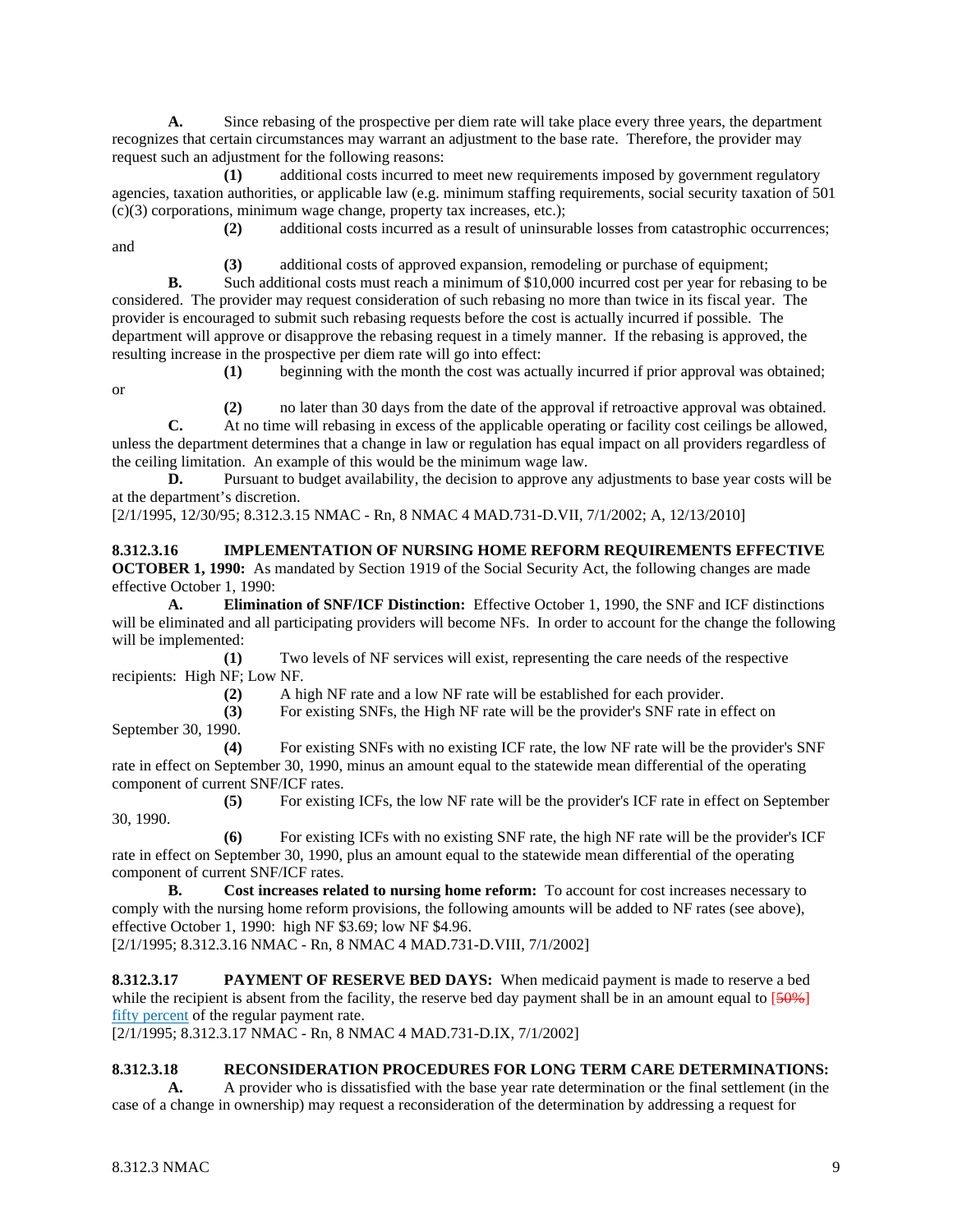**A.** Since rebasing of the prospective per diem rate will take place every three years, the department recognizes that certain circumstances may warrant an adjustment to the base rate. Therefore, the provider may request such an adjustment for the following reasons:

**(1)** additional costs incurred to meet new requirements imposed by government regulatory agencies, taxation authorities, or applicable law (e.g. minimum staffing requirements, social security taxation of 501 (c)(3) corporations, minimum wage change, property tax increases, etc.);

and

**(2)** additional costs incurred as a result of uninsurable losses from catastrophic occurrences;

**(3)** additional costs of approved expansion, remodeling or purchase of equipment;

**B.** Such additional costs must reach a minimum of \$10,000 incurred cost per year for rebasing to be considered. The provider may request consideration of such rebasing no more than twice in its fiscal year. The provider is encouraged to submit such rebasing requests before the cost is actually incurred if possible. The department will approve or disapprove the rebasing request in a timely manner. If the rebasing is approved, the resulting increase in the prospective per diem rate will go into effect:

or

**(1)** beginning with the month the cost was actually incurred if prior approval was obtained;

**(2)** no later than 30 days from the date of the approval if retroactive approval was obtained.

**C.** At no time will rebasing in excess of the applicable operating or facility cost ceilings be allowed, unless the department determines that a change in law or regulation has equal impact on all providers regardless of the ceiling limitation. An example of this would be the minimum wage law.

**D.** Pursuant to budget availability, the decision to approve any adjustments to base year costs will be at the department's discretion.

## [2/1/1995, 12/30/95; 8.312.3.15 NMAC - Rn, 8 NMAC 4 MAD.731-D.VII, 7/1/2002; A, 12/13/2010]

**8.312.3.16 IMPLEMENTATION OF NURSING HOME REFORM REQUIREMENTS EFFECTIVE OCTOBER 1, 1990:** As mandated by Section 1919 of the Social Security Act, the following changes are made effective October 1, 1990:

**A. Elimination of SNF/ICF Distinction:** Effective October 1, 1990, the SNF and ICF distinctions will be eliminated and all participating providers will become NFs. In order to account for the change the following will be implemented:

**(1)** Two levels of NF services will exist, representing the care needs of the respective recipients: High NF; Low NF.

**(2)** A high NF rate and a low NF rate will be established for each provider.

**(3)** For existing SNFs, the High NF rate will be the provider's SNF rate in effect on

September 30, 1990.

**(4)** For existing SNFs with no existing ICF rate, the low NF rate will be the provider's SNF rate in effect on September 30, 1990, minus an amount equal to the statewide mean differential of the operating component of current SNF/ICF rates.

**(5)** For existing ICFs, the low NF rate will be the provider's ICF rate in effect on September 30, 1990.

**(6)** For existing ICFs with no existing SNF rate, the high NF rate will be the provider's ICF rate in effect on September 30, 1990, plus an amount equal to the statewide mean differential of the operating component of current SNF/ICF rates.

**B. Cost increases related to nursing home reform:** To account for cost increases necessary to comply with the nursing home reform provisions, the following amounts will be added to NF rates (see above), effective October 1, 1990: high NF \$3.69; low NF \$4.96.

[2/1/1995; 8.312.3.16 NMAC - Rn, 8 NMAC 4 MAD.731-D.VIII, 7/1/2002]

**8.312.3.17 PAYMENT OF RESERVE BED DAYS:** When medicaid payment is made to reserve a bed while the recipient is absent from the facility, the reserve bed day payment shall be in an amount equal to  $[50\%]$ fifty percent of the regular payment rate.

[2/1/1995; 8.312.3.17 NMAC - Rn, 8 NMAC 4 MAD.731-D.IX, 7/1/2002]

## **8.312.3.18 RECONSIDERATION PROCEDURES FOR LONG TERM CARE DETERMINATIONS:**

**A.** A provider who is dissatisfied with the base year rate determination or the final settlement (in the case of a change in ownership) may request a reconsideration of the determination by addressing a request for